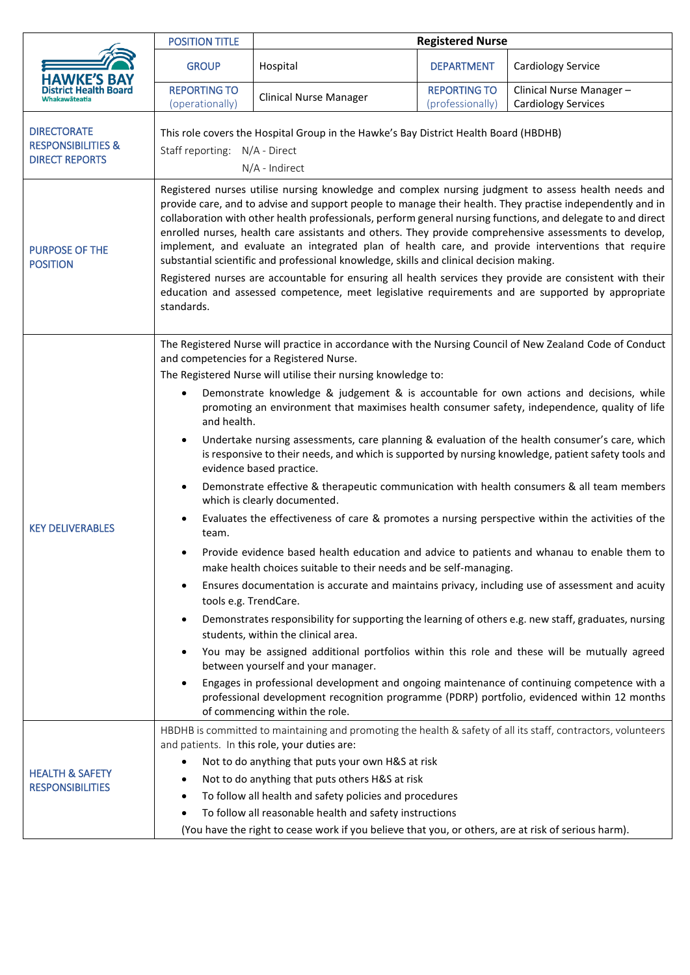|                                                                              | <b>POSITION TITLE</b>                                                                                                                                                                                                                                                                                                                                                                                                                                                                                                                                                                                                                                                                                                                                                                                                                                                      | <b>Registered Nurse</b>                                                                                                                                                                                                                                                                                                                                                                                                                                                                                                                                                                                                                                                                                                                                                                                                                                                                                                                                                                                                                                                                                                                                                                                                                                                                                                                                                                                                                                                                                                                                                                                                                                                                                        |                                         |                                                       |  |
|------------------------------------------------------------------------------|----------------------------------------------------------------------------------------------------------------------------------------------------------------------------------------------------------------------------------------------------------------------------------------------------------------------------------------------------------------------------------------------------------------------------------------------------------------------------------------------------------------------------------------------------------------------------------------------------------------------------------------------------------------------------------------------------------------------------------------------------------------------------------------------------------------------------------------------------------------------------|----------------------------------------------------------------------------------------------------------------------------------------------------------------------------------------------------------------------------------------------------------------------------------------------------------------------------------------------------------------------------------------------------------------------------------------------------------------------------------------------------------------------------------------------------------------------------------------------------------------------------------------------------------------------------------------------------------------------------------------------------------------------------------------------------------------------------------------------------------------------------------------------------------------------------------------------------------------------------------------------------------------------------------------------------------------------------------------------------------------------------------------------------------------------------------------------------------------------------------------------------------------------------------------------------------------------------------------------------------------------------------------------------------------------------------------------------------------------------------------------------------------------------------------------------------------------------------------------------------------------------------------------------------------------------------------------------------------|-----------------------------------------|-------------------------------------------------------|--|
| HAWKE'S BAY                                                                  | <b>GROUP</b>                                                                                                                                                                                                                                                                                                                                                                                                                                                                                                                                                                                                                                                                                                                                                                                                                                                               | Hospital                                                                                                                                                                                                                                                                                                                                                                                                                                                                                                                                                                                                                                                                                                                                                                                                                                                                                                                                                                                                                                                                                                                                                                                                                                                                                                                                                                                                                                                                                                                                                                                                                                                                                                       | <b>DEPARTMENT</b>                       | Cardiology Service                                    |  |
|                                                                              | <b>REPORTING TO</b><br>(operationally)                                                                                                                                                                                                                                                                                                                                                                                                                                                                                                                                                                                                                                                                                                                                                                                                                                     | <b>Clinical Nurse Manager</b>                                                                                                                                                                                                                                                                                                                                                                                                                                                                                                                                                                                                                                                                                                                                                                                                                                                                                                                                                                                                                                                                                                                                                                                                                                                                                                                                                                                                                                                                                                                                                                                                                                                                                  | <b>REPORTING TO</b><br>(professionally) | Clinical Nurse Manager-<br><b>Cardiology Services</b> |  |
| <b>DIRECTORATE</b><br><b>RESPONSIBILITIES &amp;</b><br><b>DIRECT REPORTS</b> | This role covers the Hospital Group in the Hawke's Bay District Health Board (HBDHB)<br>Staff reporting: N/A - Direct<br>N/A - Indirect                                                                                                                                                                                                                                                                                                                                                                                                                                                                                                                                                                                                                                                                                                                                    |                                                                                                                                                                                                                                                                                                                                                                                                                                                                                                                                                                                                                                                                                                                                                                                                                                                                                                                                                                                                                                                                                                                                                                                                                                                                                                                                                                                                                                                                                                                                                                                                                                                                                                                |                                         |                                                       |  |
| <b>PURPOSE OF THE</b><br><b>POSITION</b>                                     | Registered nurses utilise nursing knowledge and complex nursing judgment to assess health needs and<br>provide care, and to advise and support people to manage their health. They practise independently and in<br>collaboration with other health professionals, perform general nursing functions, and delegate to and direct<br>enrolled nurses, health care assistants and others. They provide comprehensive assessments to develop,<br>implement, and evaluate an integrated plan of health care, and provide interventions that require<br>substantial scientific and professional knowledge, skills and clinical decision making.<br>Registered nurses are accountable for ensuring all health services they provide are consistent with their<br>education and assessed competence, meet legislative requirements and are supported by appropriate<br>standards. |                                                                                                                                                                                                                                                                                                                                                                                                                                                                                                                                                                                                                                                                                                                                                                                                                                                                                                                                                                                                                                                                                                                                                                                                                                                                                                                                                                                                                                                                                                                                                                                                                                                                                                                |                                         |                                                       |  |
| <b>KEY DELIVERABLES</b>                                                      | $\bullet$<br>and health.<br>$\bullet$<br>$\bullet$<br>team.<br>$\bullet$<br>$\bullet$                                                                                                                                                                                                                                                                                                                                                                                                                                                                                                                                                                                                                                                                                                                                                                                      | The Registered Nurse will practice in accordance with the Nursing Council of New Zealand Code of Conduct<br>and competencies for a Registered Nurse.<br>The Registered Nurse will utilise their nursing knowledge to:<br>Demonstrate knowledge & judgement & is accountable for own actions and decisions, while<br>promoting an environment that maximises health consumer safety, independence, quality of life<br>Undertake nursing assessments, care planning & evaluation of the health consumer's care, which<br>is responsive to their needs, and which is supported by nursing knowledge, patient safety tools and<br>evidence based practice.<br>Demonstrate effective & therapeutic communication with health consumers & all team members<br>which is clearly documented.<br>Evaluates the effectiveness of care & promotes a nursing perspective within the activities of the<br>Provide evidence based health education and advice to patients and whanau to enable them to<br>make health choices suitable to their needs and be self-managing.<br>Ensures documentation is accurate and maintains privacy, including use of assessment and acuity<br>tools e.g. TrendCare.<br>Demonstrates responsibility for supporting the learning of others e.g. new staff, graduates, nursing<br>students, within the clinical area.<br>You may be assigned additional portfolios within this role and these will be mutually agreed<br>between yourself and your manager.<br>Engages in professional development and ongoing maintenance of continuing competence with a<br>professional development recognition programme (PDRP) portfolio, evidenced within 12 months<br>of commencing within the role. |                                         |                                                       |  |
| <b>HEALTH &amp; SAFETY</b><br><b>RESPONSIBILITIES</b>                        | $\bullet$<br>٠<br>٠                                                                                                                                                                                                                                                                                                                                                                                                                                                                                                                                                                                                                                                                                                                                                                                                                                                        | HBDHB is committed to maintaining and promoting the health & safety of all its staff, contractors, volunteers<br>and patients. In this role, your duties are:<br>Not to do anything that puts your own H&S at risk<br>Not to do anything that puts others H&S at risk<br>To follow all health and safety policies and procedures<br>To follow all reasonable health and safety instructions<br>(You have the right to cease work if you believe that you, or others, are at risk of serious harm).                                                                                                                                                                                                                                                                                                                                                                                                                                                                                                                                                                                                                                                                                                                                                                                                                                                                                                                                                                                                                                                                                                                                                                                                             |                                         |                                                       |  |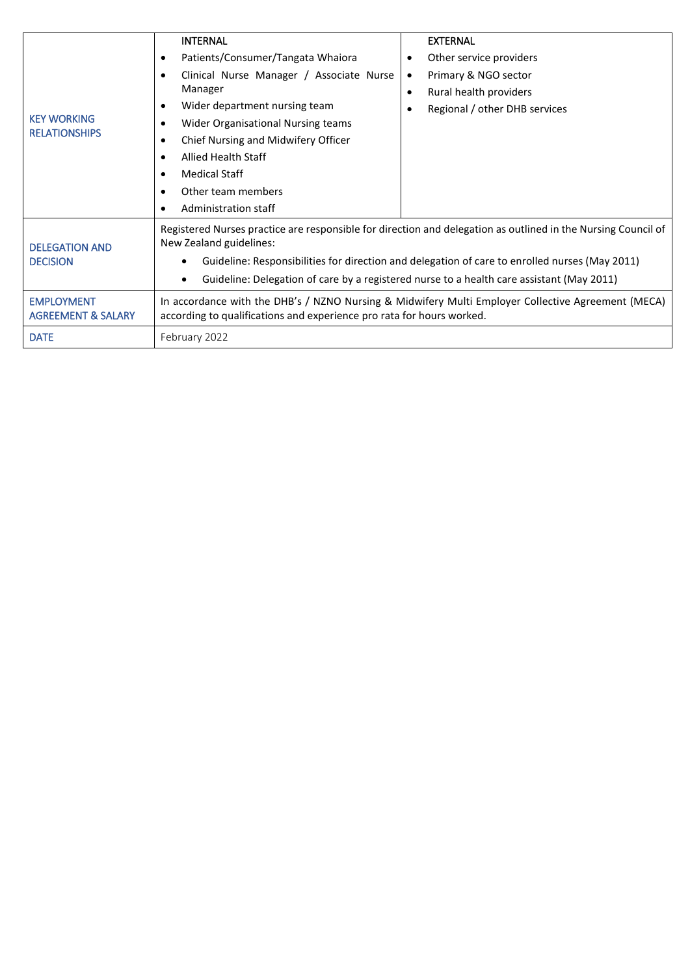| Clinical Nurse Manager / Associate Nurse<br>Primary & NGO sector<br>$\bullet$<br>$\bullet$<br>Manager<br>Rural health providers<br>$\bullet$<br>Wider department nursing team<br>$\bullet$<br>Regional / other DHB services<br><b>KEY WORKING</b><br>Wider Organisational Nursing teams<br>$\bullet$<br><b>RELATIONSHIPS</b><br>Chief Nursing and Midwifery Officer<br>٠<br><b>Allied Health Staff</b><br>$\bullet$<br><b>Medical Staff</b><br>$\bullet$<br>Other team members<br>$\bullet$<br>Administration staff<br>٠ |                                                                                                                                                                                                                                                                                                                       |  |  |  |  |
|--------------------------------------------------------------------------------------------------------------------------------------------------------------------------------------------------------------------------------------------------------------------------------------------------------------------------------------------------------------------------------------------------------------------------------------------------------------------------------------------------------------------------|-----------------------------------------------------------------------------------------------------------------------------------------------------------------------------------------------------------------------------------------------------------------------------------------------------------------------|--|--|--|--|
| New Zealand guidelines:<br><b>DELEGATION AND</b><br><b>DECISION</b><br>٠<br>Guideline: Delegation of care by a registered nurse to a health care assistant (May 2011)<br>$\bullet$<br><b>EMPLOYMENT</b>                                                                                                                                                                                                                                                                                                                  | Registered Nurses practice are responsible for direction and delegation as outlined in the Nursing Council of<br>Guideline: Responsibilities for direction and delegation of care to enrolled nurses (May 2011)<br>In accordance with the DHB's / NZNO Nursing & Midwifery Multi Employer Collective Agreement (MECA) |  |  |  |  |
| according to qualifications and experience pro rata for hours worked.<br><b>AGREEMENT &amp; SALARY</b><br><b>DATE</b><br>February 2022                                                                                                                                                                                                                                                                                                                                                                                   |                                                                                                                                                                                                                                                                                                                       |  |  |  |  |